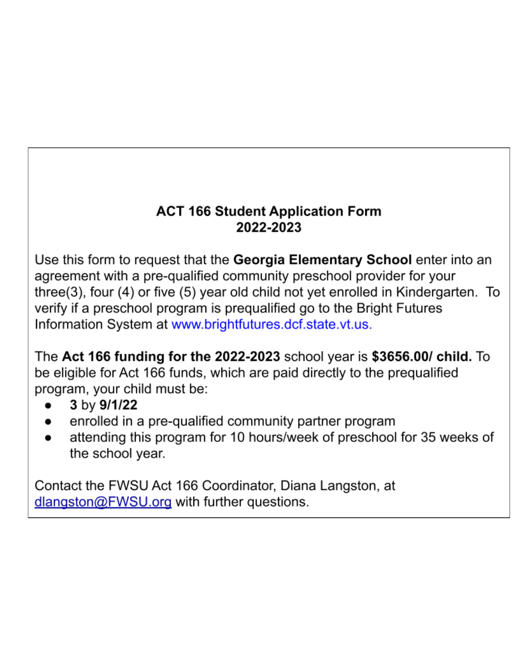# **ACT 166 Student Application Form** 2022-2023

Use this form to request that the Georgia Elementary School enter into an agreement with a pre-qualified community preschool provider for your three(3), four (4) or five (5) year old child not yet enrolled in Kindergarten. To verify if a preschool program is prequalified go to the Bright Futures Information System at www.brightfutures.dcf.state.vt.us.

The Act 166 funding for the 2022-2023 school year is  $$3656.00/$  child. To be eligible for Act 166 funds, which are paid directly to the prequalified program, your child must be:

- 3 by 9/1/22
- enrolled in a pre-qualified community partner program
- attending this program for 10 hours/week of preschool for 35 weeks of the school year.

Contact the FWSU Act 166 Coordinator, Diana Langston, at dlangston@FWSU.org with further questions.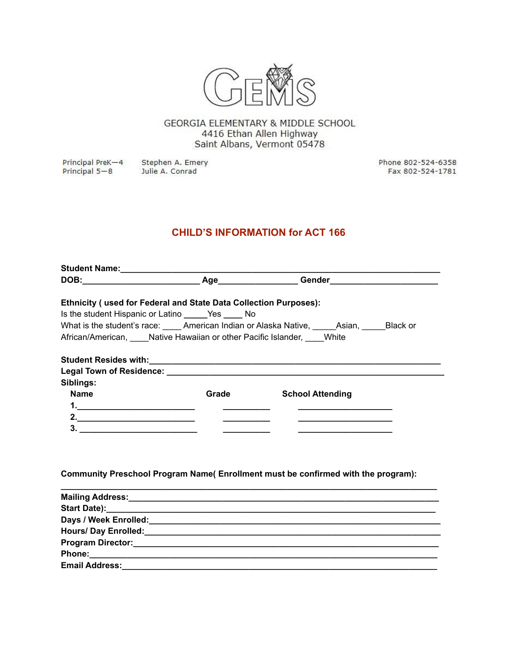

GEORGIA ELEMENTARY & MIDDLE SCHOOL 4416 Ethan Allen Highway Saint Albans, Vermont 05478

Principal PreK-4 Principal 5-8

Stephen A. Emery Julie A. Conrad

Phone 802-524-6358 Fax 802-524-1781

# **CHILD'S INFORMATION for ACT 166**

|                    | <b>Ethnicity (used for Federal and State Data Collection Purposes):</b> |                                                                                                  |
|--------------------|-------------------------------------------------------------------------|--------------------------------------------------------------------------------------------------|
|                    | Is the student Hispanic or Latino _______Yes _______ No                 |                                                                                                  |
|                    |                                                                         | What is the student's race: ______ American Indian or Alaska Native, ______Asian, ______Black or |
|                    | African/American, Native Hawaiian or other Pacific Islander, White      |                                                                                                  |
|                    |                                                                         |                                                                                                  |
|                    |                                                                         |                                                                                                  |
|                    |                                                                         |                                                                                                  |
| Siblings:          |                                                                         |                                                                                                  |
| <b>Name</b>        | Grade                                                                   | <b>School Attending</b>                                                                          |
| 1.                 |                                                                         |                                                                                                  |
| 2. $\qquad \qquad$ |                                                                         |                                                                                                  |
|                    |                                                                         |                                                                                                  |
|                    |                                                                         |                                                                                                  |
|                    |                                                                         |                                                                                                  |
|                    |                                                                         |                                                                                                  |
|                    |                                                                         | Community Preschool Program Name(Enrollment must be confirmed with the program):                 |
|                    |                                                                         |                                                                                                  |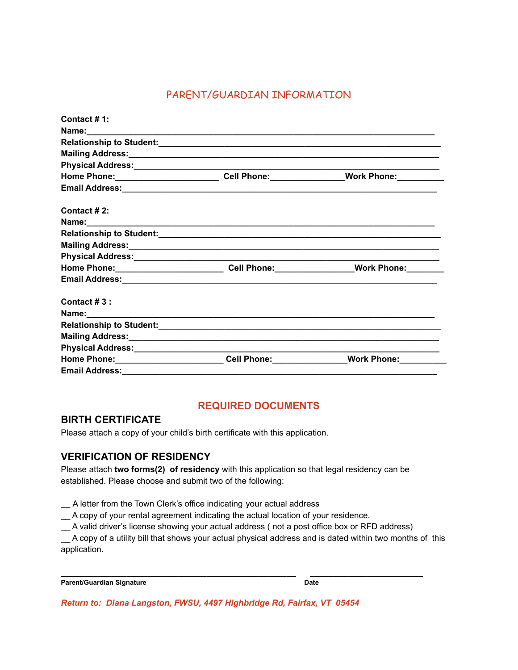## PARENT/GUARDIAN INFORMATION

| Contact # 1:                                                                                                           |                         |
|------------------------------------------------------------------------------------------------------------------------|-------------------------|
|                                                                                                                        |                         |
|                                                                                                                        |                         |
|                                                                                                                        |                         |
|                                                                                                                        |                         |
| Home Phone:____________________________Cell Phone:________________Work Phone:__________                                |                         |
|                                                                                                                        |                         |
| Contact # 2:                                                                                                           |                         |
|                                                                                                                        |                         |
|                                                                                                                        |                         |
| Mailing Address: <u>Communications and Communications</u> and Communications and Communications and Communications and |                         |
|                                                                                                                        |                         |
| Home Phone:_____________________________Cell Phone:__________________Work Phone:_________                              |                         |
|                                                                                                                        |                         |
| Contact $#3$ :                                                                                                         |                         |
|                                                                                                                        |                         |
|                                                                                                                        |                         |
| Mailing Address: 1999 Mailing Address: 1999 Mailing Address: 1999 Mailing Address: 1999 Mailing Address: 1999          |                         |
|                                                                                                                        |                         |
| Home Phone: _______________________________Cell Phone: _________________________                                       | Work Phone: Work Phone: |
| <b>Email Address:</b>                                                                                                  |                         |

#### **REQUIRED DOCUMENTS**

#### **BIRTH CERTIFICATE**

Please attach a copy of your child's birth certificate with this application.

#### **VERIFICATION OF RESIDENCY**

Please attach **two forms(2) of residency** with this application so that legal residency can be established. Please choose and submit two of the following:

**\_\_** A letter from the Town Clerk's office indicating your actual address

\_\_ A copy of your rental agreement indicating the actual location of your residence.

\_\_ A valid driver's license showing your actual address ( not a post office box or RFD address)

\_\_ A copy of a utility bill that shows your actual physical address and is dated within two months of this application.

| Parent/Guardian Signature | <b>Date</b> |
|---------------------------|-------------|
|                           |             |

**\_\_\_\_\_\_\_\_\_\_\_\_\_\_\_\_\_\_\_\_\_\_\_\_\_\_\_\_\_\_\_\_\_\_\_\_\_\_\_\_\_\_\_\_\_\_\_\_\_\_ \_\_\_\_\_\_\_\_\_\_\_\_\_\_\_\_\_\_\_\_\_\_\_\_**

*Return to: Diana Langston, FWSU, 4497 Highbridge Rd, Fairfax, VT 05454*